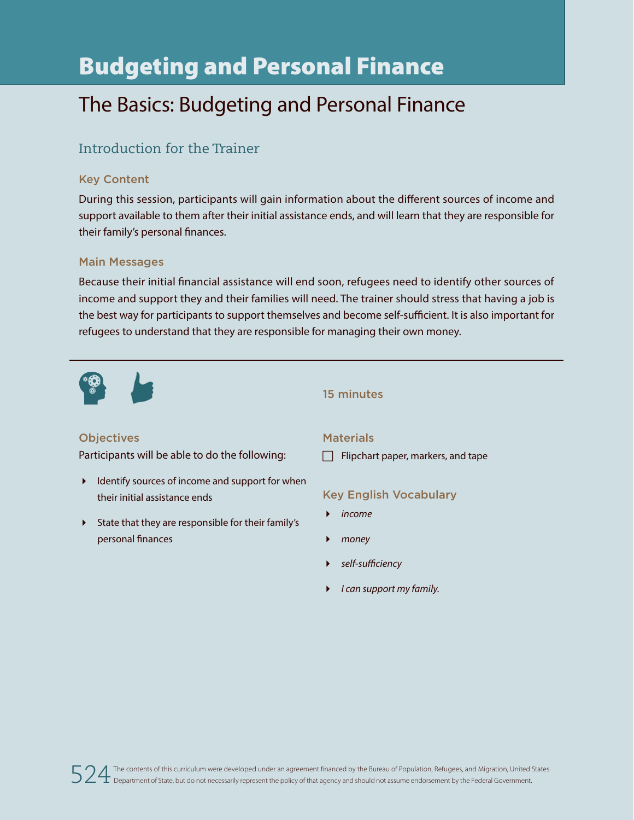# Budgeting and Personal Finance

## The Basics: Budgeting and Personal Finance

## Introduction for the Trainer

#### Key Content

During this session, participants will gain information about the different sources of income and support available to them after their initial assistance ends, and will learn that they are responsible for their family's personal finances.

#### Main Messages

Because their initial financial assistance will end soon, refugees need to identify other sources of income and support they and their families will need. The trainer should stress that having a job is the best way for participants to support themselves and become self-sufficient. It is also important for refugees to understand that they are responsible for managing their own money.



#### 15 minutes

#### **Objectives**

Participants will be able to do the following:

- $\blacktriangleright$  Identify sources of income and support for when their initial assistance ends
- State that they are responsible for their family's personal finances

#### **Materials**

 $\Box$  Flipchart paper, markers, and tape

#### Key English Vocabulary

- *income*
- *money*
- *self-sufficiency*
- *I can support my family.*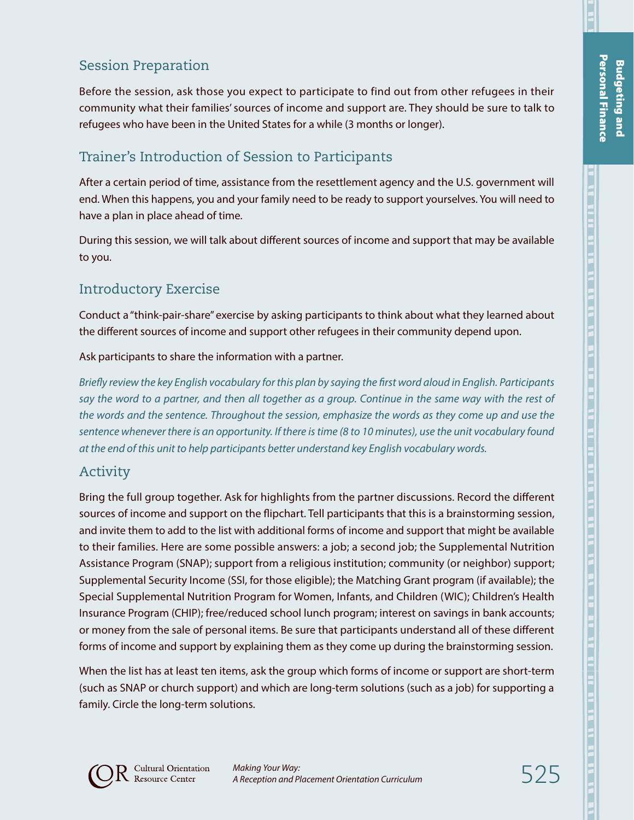## Session Preparation

Before the session, ask those you expect to participate to find out from other refugees in their community what their families' sources of income and support are. They should be sure to talk to refugees who have been in the United States for a while (3 months or longer).

## Trainer's Introduction of Session to Participants

After a certain period of time, assistance from the resettlement agency and the U.S. government will end. When this happens, you and your family need to be ready to support yourselves. You will need to have a plan in place ahead of time.

During this session, we will talk about different sources of income and support that may be available to you.

## Introductory Exercise

Conduct a "think-pair-share" exercise by asking participants to think about what they learned about the different sources of income and support other refugees in their community depend upon.

#### Ask participants to share the information with a partner.

*Briefly review the key English vocabulary for this plan by saying the first word aloud in English. Participants say the word to a partner, and then all together as a group. Continue in the same way with the rest of the words and the sentence. Throughout the session, emphasize the words as they come up and use the sentence whenever there is an opportunity. If there is time (8 to 10 minutes), use the unit vocabulary found at the end of this unit to help participants better understand key English vocabulary words.*

#### Activity

Bring the full group together. Ask for highlights from the partner discussions. Record the different sources of income and support on the flipchart. Tell participants that this is a brainstorming session, and invite them to add to the list with additional forms of income and support that might be available to their families. Here are some possible answers: a job; a second job; the Supplemental Nutrition Assistance Program (SNAP); support from a religious institution; community (or neighbor) support; Supplemental Security Income (SSI, for those eligible); the Matching Grant program (if available); the Special Supplemental Nutrition Program for Women, Infants, and Children (WIC); Children's Health Insurance Program (CHIP); free/reduced school lunch program; interest on savings in bank accounts; or money from the sale of personal items. Be sure that participants understand all of these different forms of income and support by explaining them as they come up during the brainstorming session.

When the list has at least ten items, ask the group which forms of income or support are short-term (such as SNAP or church support) and which are long-term solutions (such as a job) for supporting a family. Circle the long-term solutions.